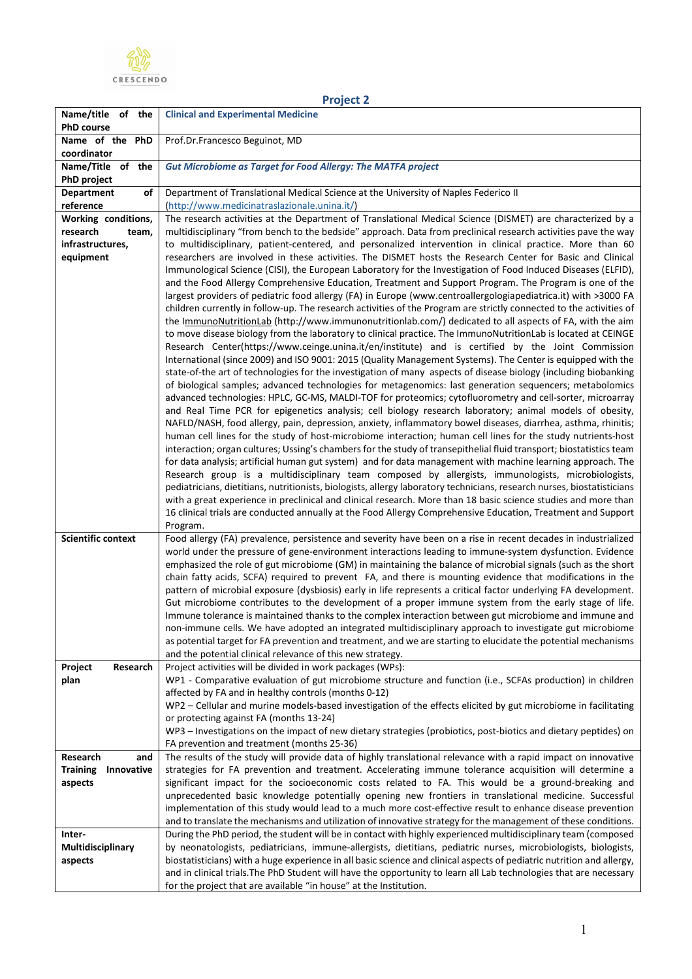

|                                                    | <b>Project 2</b>                                                                                                                                                                                                                                                                                                                                                                                                                                                                                                                                                                                                                                                                                                                                                                                                                                                                                                                                                                                                                                                                                                                                                                                                                                                                                                                                                                                                                                                                                                                                                                                                                                                                                                                                                                                                                                                                                                                                                                                                                                                                                                                                                                                                                                                                                                                                                                                                            |
|----------------------------------------------------|-----------------------------------------------------------------------------------------------------------------------------------------------------------------------------------------------------------------------------------------------------------------------------------------------------------------------------------------------------------------------------------------------------------------------------------------------------------------------------------------------------------------------------------------------------------------------------------------------------------------------------------------------------------------------------------------------------------------------------------------------------------------------------------------------------------------------------------------------------------------------------------------------------------------------------------------------------------------------------------------------------------------------------------------------------------------------------------------------------------------------------------------------------------------------------------------------------------------------------------------------------------------------------------------------------------------------------------------------------------------------------------------------------------------------------------------------------------------------------------------------------------------------------------------------------------------------------------------------------------------------------------------------------------------------------------------------------------------------------------------------------------------------------------------------------------------------------------------------------------------------------------------------------------------------------------------------------------------------------------------------------------------------------------------------------------------------------------------------------------------------------------------------------------------------------------------------------------------------------------------------------------------------------------------------------------------------------------------------------------------------------------------------------------------------------|
| Name/title of the                                  | <b>Clinical and Experimental Medicine</b>                                                                                                                                                                                                                                                                                                                                                                                                                                                                                                                                                                                                                                                                                                                                                                                                                                                                                                                                                                                                                                                                                                                                                                                                                                                                                                                                                                                                                                                                                                                                                                                                                                                                                                                                                                                                                                                                                                                                                                                                                                                                                                                                                                                                                                                                                                                                                                                   |
| <b>PhD</b> course                                  |                                                                                                                                                                                                                                                                                                                                                                                                                                                                                                                                                                                                                                                                                                                                                                                                                                                                                                                                                                                                                                                                                                                                                                                                                                                                                                                                                                                                                                                                                                                                                                                                                                                                                                                                                                                                                                                                                                                                                                                                                                                                                                                                                                                                                                                                                                                                                                                                                             |
| Name of the PhD                                    | Prof.Dr.Francesco Beguinot, MD                                                                                                                                                                                                                                                                                                                                                                                                                                                                                                                                                                                                                                                                                                                                                                                                                                                                                                                                                                                                                                                                                                                                                                                                                                                                                                                                                                                                                                                                                                                                                                                                                                                                                                                                                                                                                                                                                                                                                                                                                                                                                                                                                                                                                                                                                                                                                                                              |
| coordinator<br>Name/Title of the                   | <b>Gut Microbiome as Target for Food Allergy: The MATFA project</b>                                                                                                                                                                                                                                                                                                                                                                                                                                                                                                                                                                                                                                                                                                                                                                                                                                                                                                                                                                                                                                                                                                                                                                                                                                                                                                                                                                                                                                                                                                                                                                                                                                                                                                                                                                                                                                                                                                                                                                                                                                                                                                                                                                                                                                                                                                                                                         |
| <b>PhD project</b>                                 |                                                                                                                                                                                                                                                                                                                                                                                                                                                                                                                                                                                                                                                                                                                                                                                                                                                                                                                                                                                                                                                                                                                                                                                                                                                                                                                                                                                                                                                                                                                                                                                                                                                                                                                                                                                                                                                                                                                                                                                                                                                                                                                                                                                                                                                                                                                                                                                                                             |
| <b>Department</b><br>of                            | Department of Translational Medical Science at the University of Naples Federico II                                                                                                                                                                                                                                                                                                                                                                                                                                                                                                                                                                                                                                                                                                                                                                                                                                                                                                                                                                                                                                                                                                                                                                                                                                                                                                                                                                                                                                                                                                                                                                                                                                                                                                                                                                                                                                                                                                                                                                                                                                                                                                                                                                                                                                                                                                                                         |
| reference                                          | (http://www.medicinatraslazionale.unina.it/)                                                                                                                                                                                                                                                                                                                                                                                                                                                                                                                                                                                                                                                                                                                                                                                                                                                                                                                                                                                                                                                                                                                                                                                                                                                                                                                                                                                                                                                                                                                                                                                                                                                                                                                                                                                                                                                                                                                                                                                                                                                                                                                                                                                                                                                                                                                                                                                |
| Working conditions,                                | The research activities at the Department of Translational Medical Science (DISMET) are characterized by a                                                                                                                                                                                                                                                                                                                                                                                                                                                                                                                                                                                                                                                                                                                                                                                                                                                                                                                                                                                                                                                                                                                                                                                                                                                                                                                                                                                                                                                                                                                                                                                                                                                                                                                                                                                                                                                                                                                                                                                                                                                                                                                                                                                                                                                                                                                  |
| research<br>team,<br>infrastructures,<br>equipment | multidisciplinary "from bench to the bedside" approach. Data from preclinical research activities pave the way<br>to multidisciplinary, patient-centered, and personalized intervention in clinical practice. More than 60<br>researchers are involved in these activities. The DISMET hosts the Research Center for Basic and Clinical<br>Immunological Science (CISI), the European Laboratory for the Investigation of Food Induced Diseases (ELFID),<br>and the Food Allergy Comprehensive Education, Treatment and Support Program. The Program is one of the<br>largest providers of pediatric food allergy (FA) in Europe (www.centroallergologiapediatrica.it) with >3000 FA<br>children currently in follow-up. The research activities of the Program are strictly connected to the activities of<br>the ImmunoNutritionLab (http://www.immunonutritionlab.com/) dedicated to all aspects of FA, with the aim<br>to move disease biology from the laboratory to clinical practice. The ImmunoNutritionLab is located at CEINGE<br>Research Center(https://www.ceinge.unina.it/en/institute) and is certified by the Joint Commission<br>International (since 2009) and ISO 9001: 2015 (Quality Management Systems). The Center is equipped with the<br>state-of-the art of technologies for the investigation of many aspects of disease biology (including biobanking<br>of biological samples; advanced technologies for metagenomics: last generation sequencers; metabolomics<br>advanced technologies: HPLC, GC-MS, MALDI-TOF for proteomics; cytofluorometry and cell-sorter, microarray<br>and Real Time PCR for epigenetics analysis; cell biology research laboratory; animal models of obesity,<br>NAFLD/NASH, food allergy, pain, depression, anxiety, inflammatory bowel diseases, diarrhea, asthma, rhinitis;<br>human cell lines for the study of host-microbiome interaction; human cell lines for the study nutrients-host<br>interaction; organ cultures; Ussing's chambers for the study of transepithelial fluid transport; biostatistics team<br>for data analysis; artificial human gut system) and for data management with machine learning approach. The<br>Research group is a multidisciplinary team composed by allergists, immunologists, microbiologists,<br>pediatricians, dietitians, nutritionists, biologists, allergy laboratory technicians, research nurses, biostatisticians |
|                                                    | with a great experience in preclinical and clinical research. More than 18 basic science studies and more than<br>16 clinical trials are conducted annually at the Food Allergy Comprehensive Education, Treatment and Support<br>Program.                                                                                                                                                                                                                                                                                                                                                                                                                                                                                                                                                                                                                                                                                                                                                                                                                                                                                                                                                                                                                                                                                                                                                                                                                                                                                                                                                                                                                                                                                                                                                                                                                                                                                                                                                                                                                                                                                                                                                                                                                                                                                                                                                                                  |
| <b>Scientific context</b>                          | Food allergy (FA) prevalence, persistence and severity have been on a rise in recent decades in industrialized<br>world under the pressure of gene-environment interactions leading to immune-system dysfunction. Evidence<br>emphasized the role of gut microbiome (GM) in maintaining the balance of microbial signals (such as the short<br>chain fatty acids, SCFA) required to prevent FA, and there is mounting evidence that modifications in the<br>pattern of microbial exposure (dysbiosis) early in life represents a critical factor underlying FA development.<br>Gut microbiome contributes to the development of a proper immune system from the early stage of life.<br>Immune tolerance is maintained thanks to the complex interaction between gut microbiome and immune and<br>non-immune cells. We have adopted an integrated multidisciplinary approach to investigate gut microbiome<br>as potential target for FA prevention and treatment, and we are starting to elucidate the potential mechanisms<br>and the potential clinical relevance of this new strategy.                                                                                                                                                                                                                                                                                                                                                                                                                                                                                                                                                                                                                                                                                                                                                                                                                                                                                                                                                                                                                                                                                                                                                                                                                                                                                                                                  |
| Project<br>Research                                | Project activities will be divided in work packages (WPs):<br>WP1 - Comparative evaluation of gut microbiome structure and function (i.e., SCFAs production) in children                                                                                                                                                                                                                                                                                                                                                                                                                                                                                                                                                                                                                                                                                                                                                                                                                                                                                                                                                                                                                                                                                                                                                                                                                                                                                                                                                                                                                                                                                                                                                                                                                                                                                                                                                                                                                                                                                                                                                                                                                                                                                                                                                                                                                                                    |
| plan                                               | affected by FA and in healthy controls (months 0-12)                                                                                                                                                                                                                                                                                                                                                                                                                                                                                                                                                                                                                                                                                                                                                                                                                                                                                                                                                                                                                                                                                                                                                                                                                                                                                                                                                                                                                                                                                                                                                                                                                                                                                                                                                                                                                                                                                                                                                                                                                                                                                                                                                                                                                                                                                                                                                                        |
|                                                    | WP2 - Cellular and murine models-based investigation of the effects elicited by gut microbiome in facilitating                                                                                                                                                                                                                                                                                                                                                                                                                                                                                                                                                                                                                                                                                                                                                                                                                                                                                                                                                                                                                                                                                                                                                                                                                                                                                                                                                                                                                                                                                                                                                                                                                                                                                                                                                                                                                                                                                                                                                                                                                                                                                                                                                                                                                                                                                                              |
|                                                    | or protecting against FA (months 13-24)                                                                                                                                                                                                                                                                                                                                                                                                                                                                                                                                                                                                                                                                                                                                                                                                                                                                                                                                                                                                                                                                                                                                                                                                                                                                                                                                                                                                                                                                                                                                                                                                                                                                                                                                                                                                                                                                                                                                                                                                                                                                                                                                                                                                                                                                                                                                                                                     |
|                                                    | WP3 - Investigations on the impact of new dietary strategies (probiotics, post-biotics and dietary peptides) on                                                                                                                                                                                                                                                                                                                                                                                                                                                                                                                                                                                                                                                                                                                                                                                                                                                                                                                                                                                                                                                                                                                                                                                                                                                                                                                                                                                                                                                                                                                                                                                                                                                                                                                                                                                                                                                                                                                                                                                                                                                                                                                                                                                                                                                                                                             |
| Research<br>and                                    | FA prevention and treatment (months 25-36)<br>The results of the study will provide data of highly translational relevance with a rapid impact on innovative                                                                                                                                                                                                                                                                                                                                                                                                                                                                                                                                                                                                                                                                                                                                                                                                                                                                                                                                                                                                                                                                                                                                                                                                                                                                                                                                                                                                                                                                                                                                                                                                                                                                                                                                                                                                                                                                                                                                                                                                                                                                                                                                                                                                                                                                |
| <b>Training</b><br>Innovative                      | strategies for FA prevention and treatment. Accelerating immune tolerance acquisition will determine a                                                                                                                                                                                                                                                                                                                                                                                                                                                                                                                                                                                                                                                                                                                                                                                                                                                                                                                                                                                                                                                                                                                                                                                                                                                                                                                                                                                                                                                                                                                                                                                                                                                                                                                                                                                                                                                                                                                                                                                                                                                                                                                                                                                                                                                                                                                      |
| aspects                                            | significant impact for the socioeconomic costs related to FA. This would be a ground-breaking and                                                                                                                                                                                                                                                                                                                                                                                                                                                                                                                                                                                                                                                                                                                                                                                                                                                                                                                                                                                                                                                                                                                                                                                                                                                                                                                                                                                                                                                                                                                                                                                                                                                                                                                                                                                                                                                                                                                                                                                                                                                                                                                                                                                                                                                                                                                           |
|                                                    | unprecedented basic knowledge potentially opening new frontiers in translational medicine. Successful<br>implementation of this study would lead to a much more cost-effective result to enhance disease prevention                                                                                                                                                                                                                                                                                                                                                                                                                                                                                                                                                                                                                                                                                                                                                                                                                                                                                                                                                                                                                                                                                                                                                                                                                                                                                                                                                                                                                                                                                                                                                                                                                                                                                                                                                                                                                                                                                                                                                                                                                                                                                                                                                                                                         |
|                                                    | and to translate the mechanisms and utilization of innovative strategy for the management of these conditions.                                                                                                                                                                                                                                                                                                                                                                                                                                                                                                                                                                                                                                                                                                                                                                                                                                                                                                                                                                                                                                                                                                                                                                                                                                                                                                                                                                                                                                                                                                                                                                                                                                                                                                                                                                                                                                                                                                                                                                                                                                                                                                                                                                                                                                                                                                              |
| Inter-                                             | During the PhD period, the student will be in contact with highly experienced multidisciplinary team (composed                                                                                                                                                                                                                                                                                                                                                                                                                                                                                                                                                                                                                                                                                                                                                                                                                                                                                                                                                                                                                                                                                                                                                                                                                                                                                                                                                                                                                                                                                                                                                                                                                                                                                                                                                                                                                                                                                                                                                                                                                                                                                                                                                                                                                                                                                                              |
| Multidisciplinary                                  | by neonatologists, pediatricians, immune-allergists, dietitians, pediatric nurses, microbiologists, biologists,                                                                                                                                                                                                                                                                                                                                                                                                                                                                                                                                                                                                                                                                                                                                                                                                                                                                                                                                                                                                                                                                                                                                                                                                                                                                                                                                                                                                                                                                                                                                                                                                                                                                                                                                                                                                                                                                                                                                                                                                                                                                                                                                                                                                                                                                                                             |
| aspects                                            | biostatisticians) with a huge experience in all basic science and clinical aspects of pediatric nutrition and allergy,                                                                                                                                                                                                                                                                                                                                                                                                                                                                                                                                                                                                                                                                                                                                                                                                                                                                                                                                                                                                                                                                                                                                                                                                                                                                                                                                                                                                                                                                                                                                                                                                                                                                                                                                                                                                                                                                                                                                                                                                                                                                                                                                                                                                                                                                                                      |
|                                                    | and in clinical trials. The PhD Student will have the opportunity to learn all Lab technologies that are necessary<br>for the project that are available "in house" at the Institution.                                                                                                                                                                                                                                                                                                                                                                                                                                                                                                                                                                                                                                                                                                                                                                                                                                                                                                                                                                                                                                                                                                                                                                                                                                                                                                                                                                                                                                                                                                                                                                                                                                                                                                                                                                                                                                                                                                                                                                                                                                                                                                                                                                                                                                     |